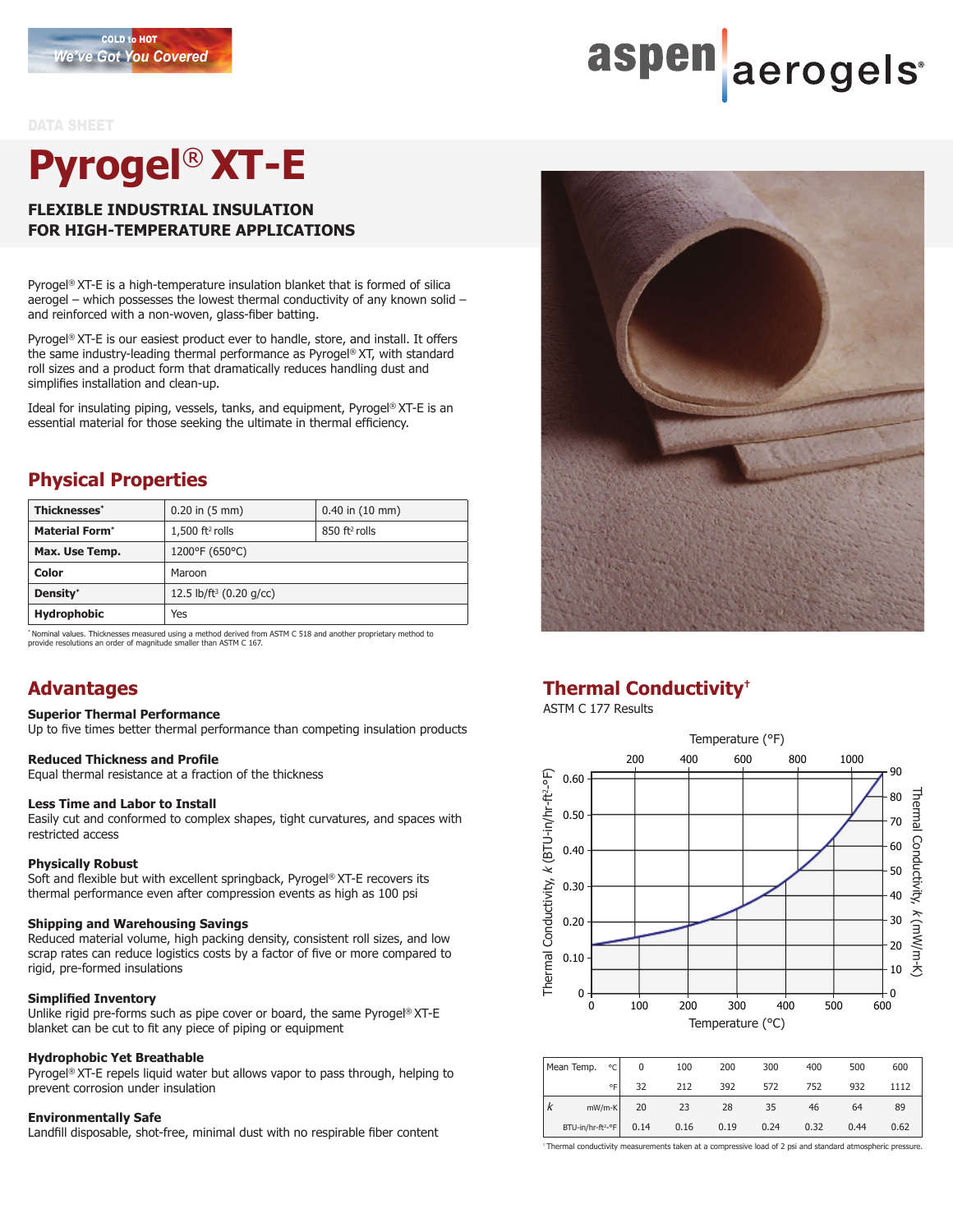#### DATA SHEET

# **Pyrogel**® **XT-E**

#### **FLEXIBLE INDUSTRIAL INSULATION FOR HIGH-TEMPERATURE APPLICATIONS**

Pyrogel® XT-E is a high-temperature insulation blanket that is formed of silica aerogel – which possesses the lowest thermal conductivity of any known solid – and reinforced with a non-woven, glass-fiber batting.

Pyrogel® XT-E is our easiest product ever to handle, store, and install. It offers the same industry-leading thermal performance as Pyrogel® XT, with standard roll sizes and a product form that dramatically reduces handling dust and simplifies installation and clean-up.

Ideal for insulating piping, vessels, tanks, and equipment, Pyrogel® XT-E is an essential material for those seeking the ultimate in thermal efficiency.

#### **Physical Properties**

| Thicknesses*          | $0.20$ in $(5 \text{ mm})$          | $0.40$ in $(10 \text{ mm})$ |  |  |  |  |
|-----------------------|-------------------------------------|-----------------------------|--|--|--|--|
| <b>Material Form*</b> | $1,500$ ft <sup>2</sup> rolls       | $850$ ft <sup>2</sup> rolls |  |  |  |  |
| Max. Use Temp.        | 1200°F (650°C)                      |                             |  |  |  |  |
| Color                 | Maroon                              |                             |  |  |  |  |
| Density*              | 12.5 lb/ft <sup>3</sup> (0.20 g/cc) |                             |  |  |  |  |
| <b>Hydrophobic</b>    | Yes                                 |                             |  |  |  |  |

\* Nominal values. Thicknesses measured using a method derived from ASTM C 518 and another proprietary method to provide resolutions an order of magnitude smaller than ASTM C 167.

#### **Advantages**

#### **Superior Thermal Performance**

Up to five times better thermal performance than competing insulation products

#### **Reduced Thickness and Profile**

Equal thermal resistance at a fraction of the thickness

#### **Less Time and Labor to Install**

Easily cut and conformed to complex shapes, tight curvatures, and spaces with restricted access

#### **Physically Robust**

Soft and flexible but with excellent springback, Pyrogel® XT-E recovers its thermal performance even after compression events as high as 100 psi

#### **Shipping and Warehousing Savings**

Reduced material volume, high packing density, consistent roll sizes, and low scrap rates can reduce logistics costs by a factor of five or more compared to rigid, pre-formed insulations

#### **Simplified Inventory**

Unlike rigid pre-forms such as pipe cover or board, the same Pyrogel® XT-E blanket can be cut to fit any piece of piping or equipment

#### **Hydrophobic Yet Breathable**

Pyrogel® XT-E repels liquid water but allows vapor to pass through, helping to prevent corrosion under insulation

#### **Environmentally Safe**

Landfill disposable, shot-free, minimal dust with no respirable fiber content



#### **Thermal Conductivity†**

#### ASTM C 177 Results



| Mean Temp.<br>∘c∣             | 0    | 100  | 200  | 300  | 400  | 500  | 600  |
|-------------------------------|------|------|------|------|------|------|------|
| ٥F                            | 32   | 212  | 392  | 572  | 752  | 932  | 1112 |
| $mW/m-K$<br>$\mathbf{v}$      | 20   | 23   | 28   | 35   | 46   | 64   | 89   |
| BTU-in/hr-ft <sup>2</sup> -°F | 0.14 | 0.16 | 0.19 | 0.24 | 0.32 | 0.44 | 0.62 |

Thermal conductivity measurements taken at a compressive load of 2 psi and standard atmospheric pressure.

# aspen aerogels<sup>®</sup>